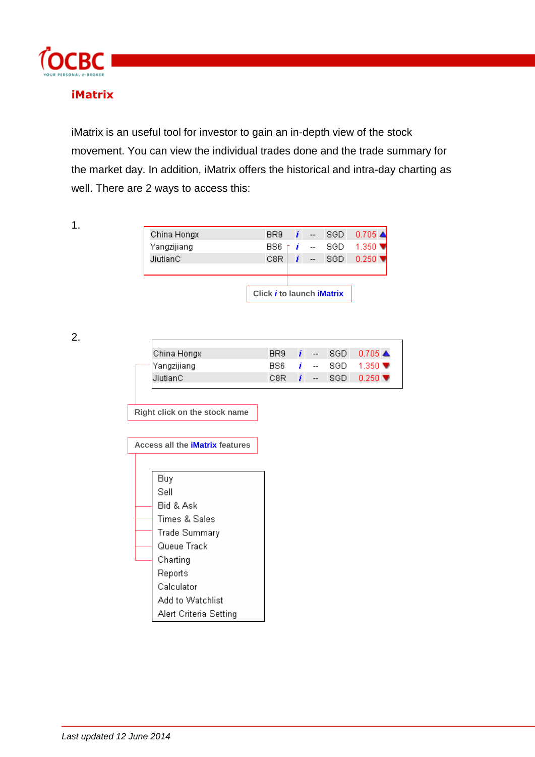

# **iMatrix**

iMatrix is an useful tool for investor to gain an in-depth view of the stock movement. You can view the individual trades done and the trade summary for the market day. In addition, iMatrix offers the historical and intra-day charting as well. There are 2 ways to access this:

1.

|             | Click <i>i</i> to launch <i>iMatrix</i> |                          |      |                              |
|-------------|-----------------------------------------|--------------------------|------|------------------------------|
|             |                                         |                          |      |                              |
|             |                                         |                          |      |                              |
| JiutianC    | C8R                                     | $-$                      | 8GD. | $0.250$ $\blacktriangledown$ |
| Yangzijiang | 886                                     | F <i>i</i> +             | SGD. | $-1.350$ ₩                   |
| China Hongx | BR <sub>9</sub>                         | $\overline{\phantom{a}}$ | SGD. | $0.705 \triangle$            |

2.

| China Hongx  | BR9 | $\sim$                   | ⊿ SGD F | $0.705 \triangle$            |
|--------------|-----|--------------------------|---------|------------------------------|
| 'Yangzijiang | 886 | $  \,$                   | - SGD - | 1.350 $\blacktriangledown$   |
| JiutianC     | C8R | $\overline{\phantom{a}}$ | -SGD.   | $0.250$ $\blacktriangledown$ |

**Right click on the stock name**

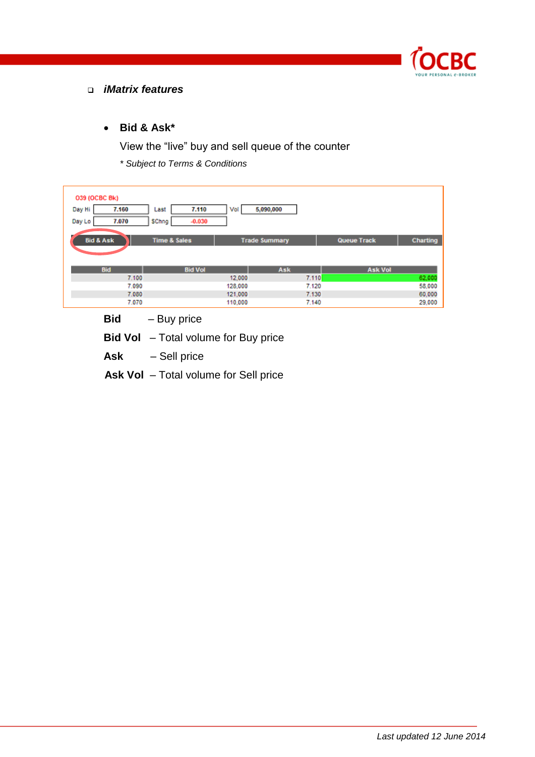

#### *iMatrix features*

## **Bid & Ask\***

View the "live" buy and sell queue of the counter

*\* Subject to Terms & Conditions*

| 039 (OCBC Bk)<br>Day Hi<br>7.160<br>7.070<br>Day Lo | 7.110<br>Last<br>SChng<br>$-0.030$ | 5,090,000<br>Vol     |                |                |                  |
|-----------------------------------------------------|------------------------------------|----------------------|----------------|----------------|------------------|
| <b>Bid &amp; Ask</b>                                | <b>Time &amp; Sales</b>            | <b>Trade Summary</b> |                | Queue Track    | Charting         |
| Bid                                                 | <b>Bid Vol</b>                     |                      | Ask            | <b>Ask Vol</b> |                  |
| 7.100<br>7.090                                      |                                    | 12,000<br>128,000    | 7.110<br>7.120 |                | 62,000<br>58,000 |
| 7.080                                               |                                    | 121,000              | 7.130          |                | 60,000           |
| 7.070                                               |                                    | 110,000              | 7.140          |                | 29,000           |

**Bid** – Buy price

**Bid Vol** – Total volume for Buy price

**Ask** – Sell price

**Ask Vol** – Total volume for Sell price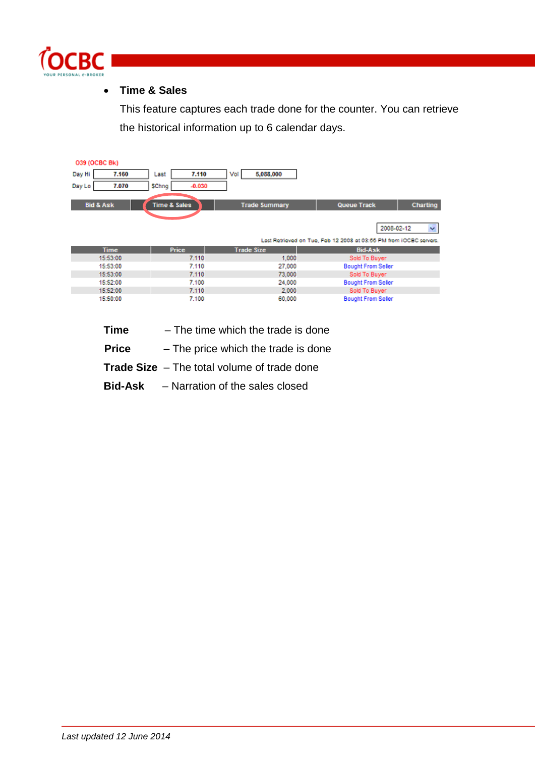

## **Time & Sales**

This feature captures each trade done for the counter. You can retrieve the historical information up to 6 calendar days.

| 039 (OCBC Bk)        |                         |                      |                                                                    |          |
|----------------------|-------------------------|----------------------|--------------------------------------------------------------------|----------|
| Day Hi<br>7.160      | 7.110<br>Last           | 5,088,000<br>Vol     |                                                                    |          |
| 7.070<br>Day Lo      | SChng<br>$-0.030$       |                      |                                                                    |          |
| <b>Bid &amp; Ask</b> | <b>Time &amp; Sales</b> | <b>Trade Summary</b> | Queue Track                                                        | Charting |
|                      |                         |                      | 2008-02-12                                                         | ×.       |
|                      |                         |                      | Last Retrieved on Tue, Feb 12 2008 at 03:55 PM from IOCBC servers. |          |
| <b>Time</b>          | Price                   | <b>Trade Size</b>    | <b>Bid-Ask</b>                                                     |          |
| 15:53:00             | 7.110                   | 1,000                | Sold To Buyer                                                      |          |
| 15:53:00             | 7.110                   | 27,000               | <b>Bought From Seller</b>                                          |          |
| 15:53:00             | 7.110                   | 73,000               | Sold To Buyer                                                      |          |
| 15:52:00             | 7.100                   | 24,000               | <b>Bought From Seller</b>                                          |          |
| 15:52:00             | 7.110                   | 2,000                | Sold To Buyer                                                      |          |
| 15:50:00             | 7.100                   | 60,000               | <b>Bought From Seller</b>                                          |          |

- **Time**  The time which the trade is done
- **Price**  The price which the trade is done
- **Trade Size** The total volume of trade done
- **Bid-Ask**  Narration of the sales closed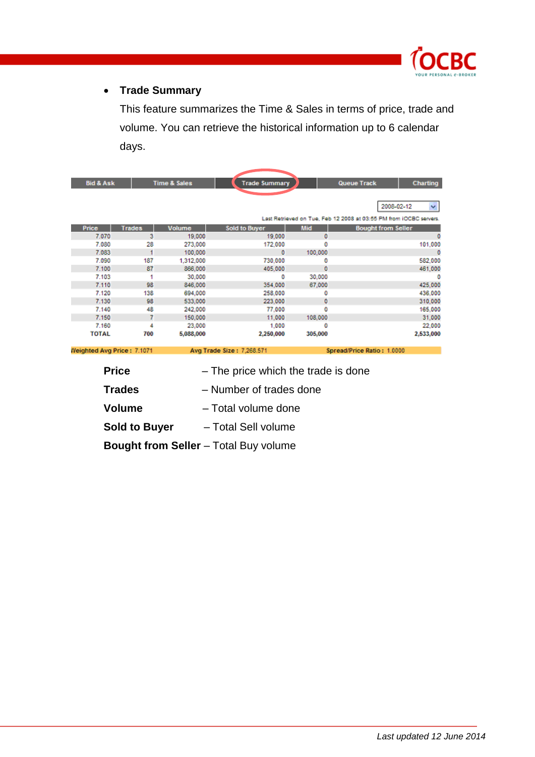

## **Trade Summary**

This feature summarizes the Time & Sales in terms of price, trade and volume. You can retrieve the historical information up to 6 calendar days.

| <b>Bid &amp; Ask</b>       |               | <b>Time &amp; Sales</b> | <b>Trade Summary</b>      |            | Queue Track<br>Charting                                            |
|----------------------------|---------------|-------------------------|---------------------------|------------|--------------------------------------------------------------------|
|                            |               |                         |                           |            |                                                                    |
|                            |               |                         |                           |            | 2008-02-12<br>×.                                                   |
|                            |               |                         |                           |            | Last Retrieved on Tue, Feb 12 2008 at 03:55 PM from IOCBC servers. |
| Price                      | <b>Trades</b> | <b>Volume</b>           | <b>Sold to Buyer</b>      | <b>Mid</b> | <b>Bought from Seller</b>                                          |
| 7.070                      | з             | 19,000                  | 19,000                    | ٥          | 0                                                                  |
| 7.080                      | 28            | 273,000                 | 172,000                   |            | 101,000                                                            |
| 7.083                      | 1             | 100,000                 | 0                         | 100,000    | 0                                                                  |
| 7.090                      | 187           | 1,312,000               | 730,000                   | O          | 582.000                                                            |
| 7.100                      | 87            | 866,000                 | 405,000                   | Ō          | 461,000                                                            |
| 7.103                      | 1             | 30,000                  | ٥                         | 30,000     | n                                                                  |
| 7.110                      | 98            | 846,000                 | 354,000                   | 67,000     | 425.000                                                            |
| 7.120                      | 138           | 694,000                 | 258,000                   |            | 436.000                                                            |
| 7.130                      | 98            | 533,000                 | 223,000                   | Ō          | 310,000                                                            |
| 7.140                      | 48            | 242,000                 | 77,000                    | ñ          | 165,000                                                            |
| 7.150                      | 7             | 150,000                 | 11,000                    | 108,000    | 31,000                                                             |
| 7.160                      | 4             | 23,000                  | 1.000                     |            | 22,000                                                             |
| <b>TOTAL</b>               | 700           | 5,088,000               | 2,250,000                 | 305,000    | 2,533,000                                                          |
| Weighted Avg Price: 7.1071 |               |                         | Avg Trade Size: 7,268.571 |            | Spread/Price Ratio: 1.0000                                         |

Weighted Avg Price: 7.1071

- **Price** The price which the trade is done
- **Trades**  Number of trades done
- **Volume** Total volume done
- **Sold to Buyer** Total Sell volume
- **Bought from Seller** Total Buy volume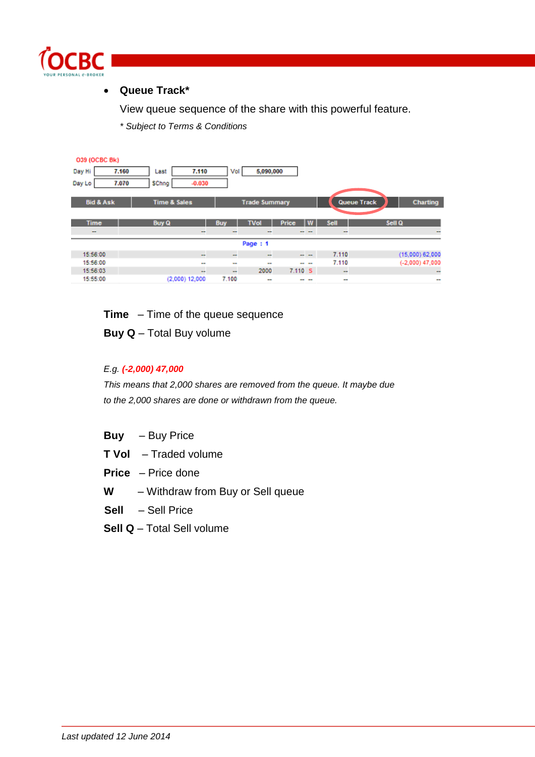

### **Queue Track\***

View queue sequence of the share with this powerful feature.

*\* Subject to Terms & Conditions*

| 039 (OCBC Bk)            |                            |                          |                      |               |           |                                |
|--------------------------|----------------------------|--------------------------|----------------------|---------------|-----------|--------------------------------|
| Day Hi                   | 7.110<br>7.160<br>Last     | Vol                      | 5,090,000            |               |           |                                |
| Day Lo                   | 7.070<br>SChng<br>$-0.030$ |                          |                      |               |           |                                |
|                          |                            |                          |                      |               |           |                                |
| <b>Bid &amp; Ask</b>     | <b>Time &amp; Sales</b>    |                          | <b>Trade Summary</b> |               |           | <b>Queue Track</b><br>Charting |
|                          |                            |                          |                      |               |           |                                |
| <b>Time</b>              | <b>Buy Q</b>               | Buy                      | <b>TVol</b>          | Price         | Sell<br>w | Sell Q                         |
| $\overline{\phantom{m}}$ | -                          | $\overline{\phantom{a}}$ | -                    | - -           | -         | -                              |
|                          |                            |                          | Page: 1              |               |           |                                |
| 15:56:00                 | $\mathbf{r}$               | $\sim$                   | $\sim$               | $\sim$ $\sim$ | 7.110     | $(15,000)$ 62,000              |
| 15:56:00                 | $\sim$                     | $\frac{1}{2}$            | $\sim$               | -- --         | 7.110     | $(-2,000)$ 47,000              |
| 15:56:03                 | $\cdots$                   | $\overline{\phantom{a}}$ | 2000                 | 7.110 S       | $\sim$    | -                              |
| 15:55:00                 | $(2,000)$ 12,000           | 7.100                    | -                    | -- --         | -         | $\sim$                         |

**Time** – Time of the queue sequence

**Buy Q** – Total Buy volume

#### *E.g. (-2,000) 47,000*

*This means that 2,000 shares are removed from the queue. It maybe due to the 2,000 shares are done or withdrawn from the queue.*

- **Buy** Buy Price
- **T Vol** Traded volume
- **Price** Price done
- **W** Withdraw from Buy or Sell queue
- **Sell** Sell Price
- **Sell Q** Total Sell volume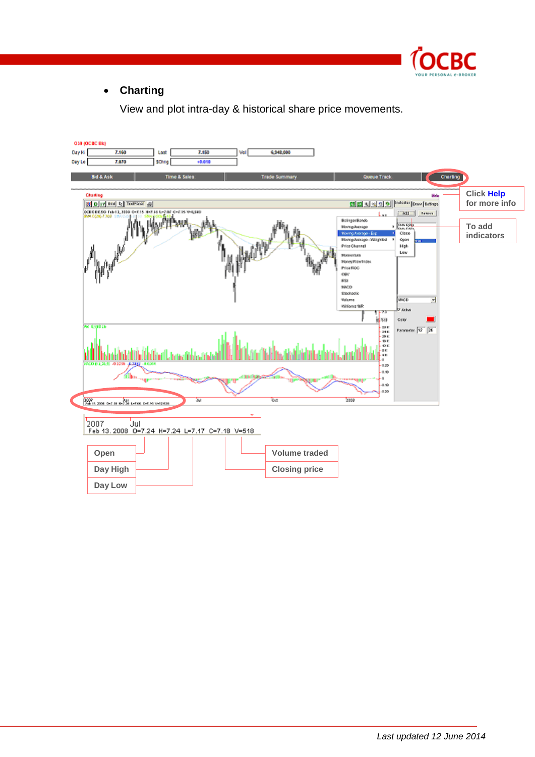

## **Charting**

View and plot intra-day & historical share price movements.

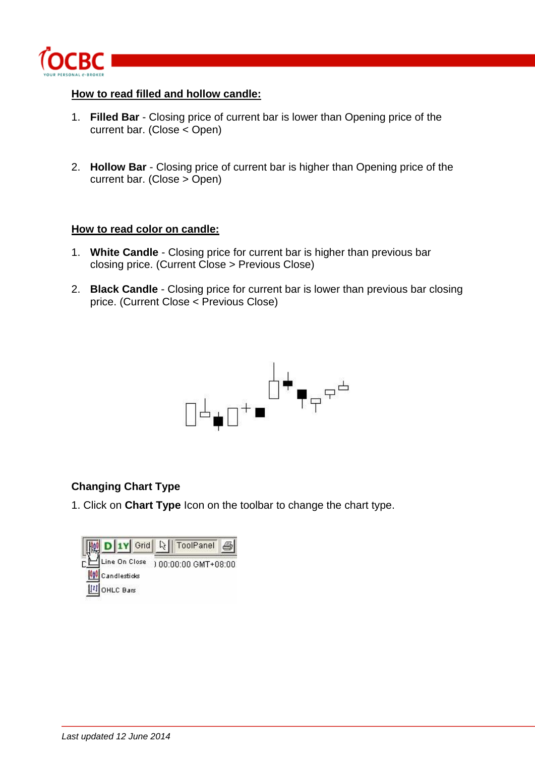

#### **How to read filled and hollow candle:**

- 1. **Filled Bar** Closing price of current bar is lower than Opening price of the current bar. (Close < Open)
- 2. **Hollow Bar** Closing price of current bar is higher than Opening price of the current bar. (Close > Open)

#### **How to read color on candle:**

- 1. **White Candle** Closing price for current bar is higher than previous bar closing price. (Current Close > Previous Close)
- 2. **Black Candle** Closing price for current bar is lower than previous bar closing price. (Current Close < Previous Close)



## **Changing Chart Type**

1. Click on **Chart Type** Icon on the toolbar to change the chart type.

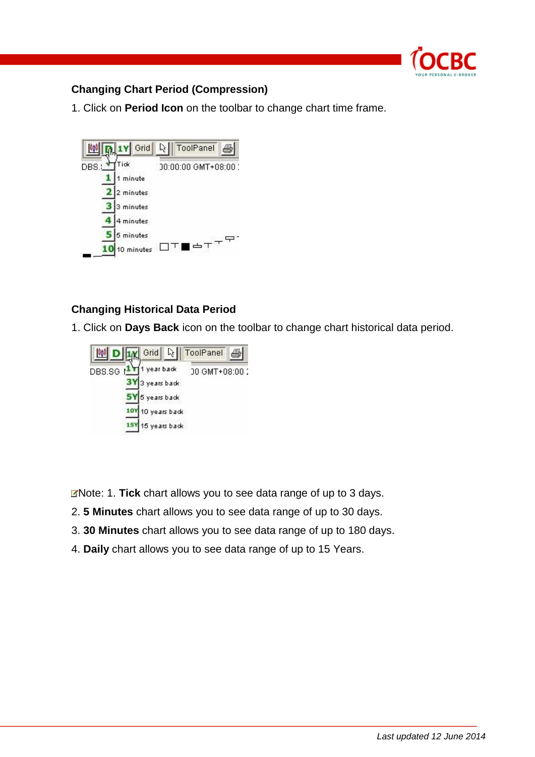

## **Changing Chart Period (Compression)**

1. Click on **Period Icon** on the toolbar to change chart time frame.



## **Changing Historical Data Period**

1. Click on **Days Back** icon on the toolbar to change chart historical data period.



Note: 1. **Tick** chart allows you to see data range of up to 3 days.

- 2. **5 Minutes** chart allows you to see data range of up to 30 days.
- 3. **30 Minutes** chart allows you to see data range of up to 180 days.
- 4. **Daily** chart allows you to see data range of up to 15 Years.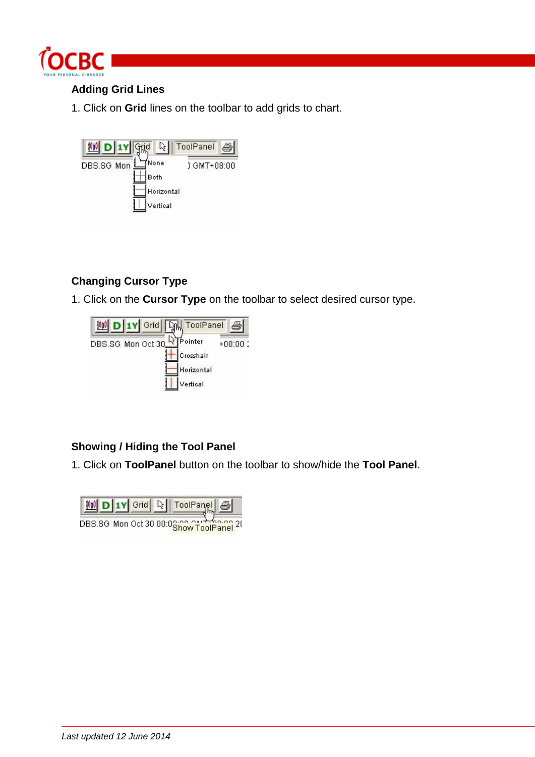

## **Adding Grid Lines**

1. Click on **Grid** lines on the toolbar to add grids to chart.



# **Changing Cursor Type**

1. Click on the **Cursor Type** on the toolbar to select desired cursor type.



# **Showing / Hiding the Tool Panel**

1. Click on **ToolPanel** button on the toolbar to show/hide the **Tool Panel**.

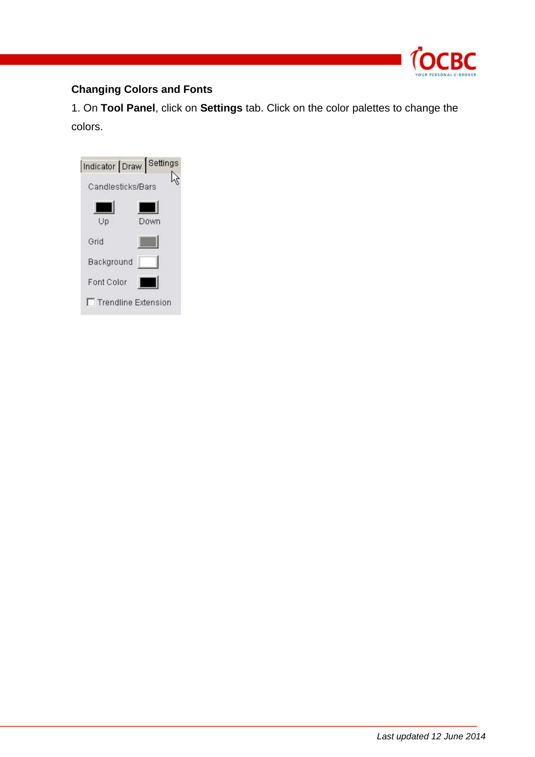

# **Changing Colors and Fonts**

1. On **Tool Panel**, click on **Settings** tab. Click on the color palettes to change the colors.

| Indicator Draw Settings    |                   |      |  |  |  |  |
|----------------------------|-------------------|------|--|--|--|--|
|                            | Candlesticks/Bars |      |  |  |  |  |
| Up                         |                   | Down |  |  |  |  |
| Grid                       |                   |      |  |  |  |  |
| Background                 |                   |      |  |  |  |  |
| Font Color                 |                   |      |  |  |  |  |
| <b>Trendline Extension</b> |                   |      |  |  |  |  |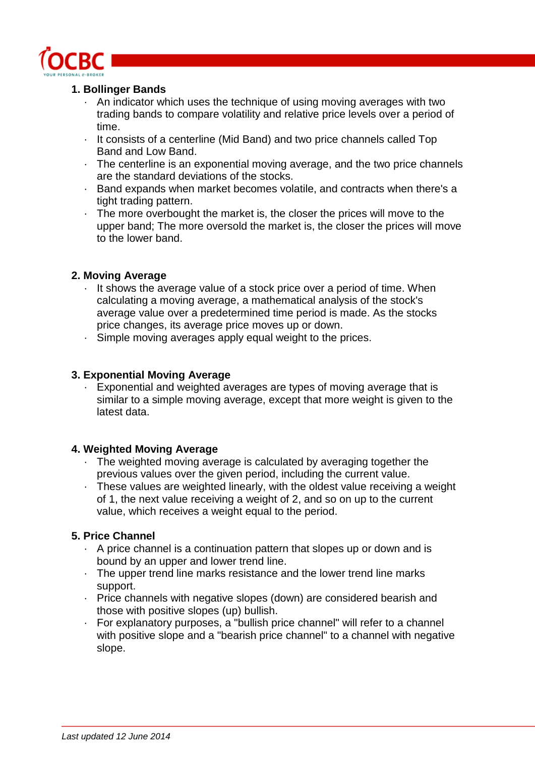

#### **1. Bollinger Bands**

- An indicator which uses the technique of using moving averages with two trading bands to compare volatility and relative price levels over a period of time.
- · It consists of a centerline (Mid Band) and two price channels called Top Band and Low Band.
- · The centerline is an exponential moving average, and the two price channels are the standard deviations of the stocks.
- · Band expands when market becomes volatile, and contracts when there's a tight trading pattern.
- · The more overbought the market is, the closer the prices will move to the upper band; The more oversold the market is, the closer the prices will move to the lower band.

#### **2. Moving Average**

- · It shows the average value of a stock price over a period of time. When calculating a moving average, a mathematical analysis of the stock's average value over a predetermined time period is made. As the stocks price changes, its average price moves up or down.
- · Simple moving averages apply equal weight to the prices.

#### **3. Exponential Moving Average**

· Exponential and weighted averages are types of moving average that is similar to a simple moving average, except that more weight is given to the latest data.

## **4. Weighted Moving Average**

- The weighted moving average is calculated by averaging together the previous values over the given period, including the current value.
- · These values are weighted linearly, with the oldest value receiving a weight of 1, the next value receiving a weight of 2, and so on up to the current value, which receives a weight equal to the period.

## **5. Price Channel**

- · A price channel is a continuation pattern that slopes up or down and is bound by an upper and lower trend line.
- · The upper trend line marks resistance and the lower trend line marks support.
- · Price channels with negative slopes (down) are considered bearish and those with positive slopes (up) bullish.
- · For explanatory purposes, a "bullish price channel" will refer to a channel with positive slope and a "bearish price channel" to a channel with negative slope.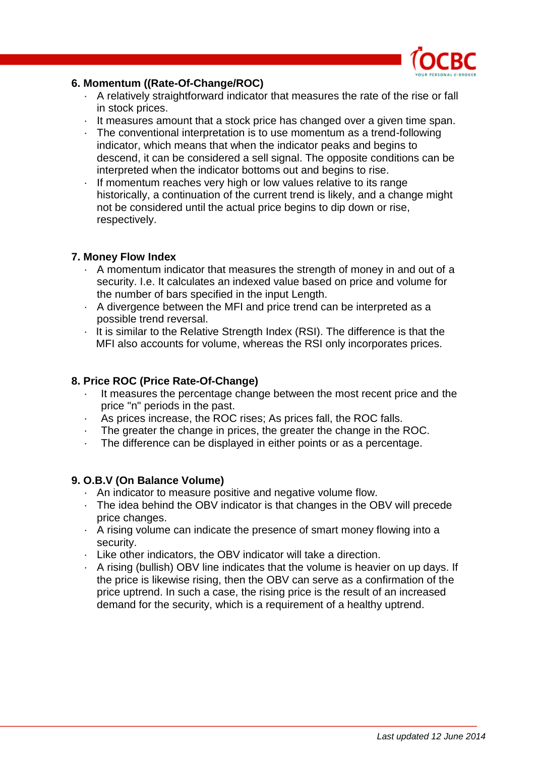

#### **6. Momentum ((Rate-Of-Change/ROC)**

- · A relatively straightforward indicator that measures the rate of the rise or fall in stock prices.
- · It measures amount that a stock price has changed over a given time span.
- · The conventional interpretation is to use momentum as a trend-following indicator, which means that when the indicator peaks and begins to descend, it can be considered a sell signal. The opposite conditions can be interpreted when the indicator bottoms out and begins to rise.
- If momentum reaches very high or low values relative to its range historically, a continuation of the current trend is likely, and a change might not be considered until the actual price begins to dip down or rise, respectively.

#### **7. Money Flow Index**

- · A momentum indicator that measures the strength of money in and out of a security. I.e. It calculates an indexed value based on price and volume for the number of bars specified in the input Length.
- · A divergence between the MFI and price trend can be interpreted as a possible trend reversal.
- · It is similar to the Relative Strength Index (RSI). The difference is that the MFI also accounts for volume, whereas the RSI only incorporates prices.

#### **8. Price ROC (Price Rate-Of-Change)**

- It measures the percentage change between the most recent price and the price "n" periods in the past.
- As prices increase, the ROC rises; As prices fall, the ROC falls.
- The greater the change in prices, the greater the change in the ROC.
- The difference can be displayed in either points or as a percentage.

#### **9. O.B.V (On Balance Volume)**

- · An indicator to measure positive and negative volume flow.
- · The idea behind the OBV indicator is that changes in the OBV will precede price changes.
- · A rising volume can indicate the presence of smart money flowing into a security.
- · Like other indicators, the OBV indicator will take a direction.
- · A rising (bullish) OBV line indicates that the volume is heavier on up days. If the price is likewise rising, then the OBV can serve as a confirmation of the price uptrend. In such a case, the rising price is the result of an increased demand for the security, which is a requirement of a healthy uptrend.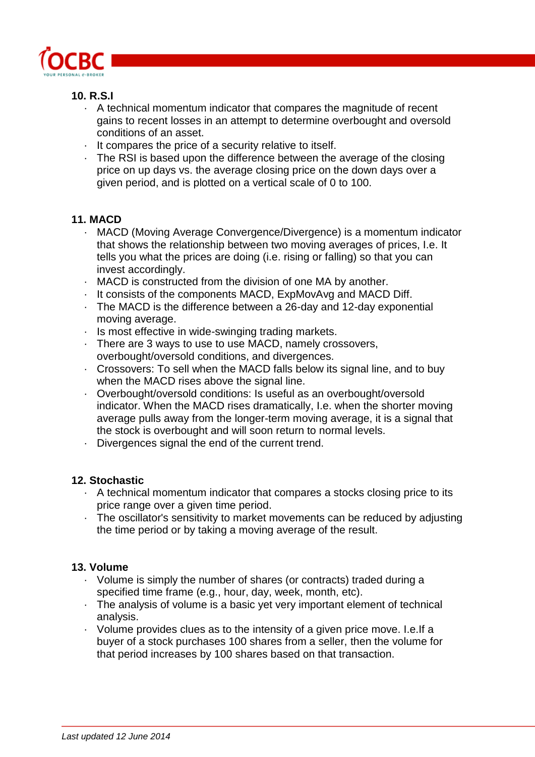

## **10. R.S.I**

- · A technical momentum indicator that compares the magnitude of recent gains to recent losses in an attempt to determine overbought and oversold conditions of an asset.
- · It compares the price of a security relative to itself.
- · The RSI is based upon the difference between the average of the closing price on up days vs. the average closing price on the down days over a given period, and is plotted on a vertical scale of 0 to 100.

## **11. MACD**

- · MACD (Moving Average Convergence/Divergence) is a momentum indicator that shows the relationship between two moving averages of prices, I.e. It tells you what the prices are doing (i.e. rising or falling) so that you can invest accordingly.
- · MACD is constructed from the division of one MA by another.
- · It consists of the components MACD, ExpMovAvg and MACD Diff.
- · The MACD is the difference between a 26-day and 12-day exponential moving average.
- · Is most effective in wide-swinging trading markets.
- · There are 3 ways to use to use MACD, namely crossovers, overbought/oversold conditions, and divergences.
- · Crossovers: To sell when the MACD falls below its signal line, and to buy when the MACD rises above the signal line.
- · Overbought/oversold conditions: Is useful as an overbought/oversold indicator. When the MACD rises dramatically, I.e. when the shorter moving average pulls away from the longer-term moving average, it is a signal that the stock is overbought and will soon return to normal levels.
- Divergences signal the end of the current trend.

#### **12. Stochastic**

- · A technical momentum indicator that compares a stocks closing price to its price range over a given time period.
- · The oscillator's sensitivity to market movements can be reduced by adjusting the time period or by taking a moving average of the result.

## **13. Volume**

- · Volume is simply the number of shares (or contracts) traded during a specified time frame (e.g., hour, day, week, month, etc).
- · The analysis of volume is a basic yet very important element of technical analysis.
- · Volume provides clues as to the intensity of a given price move. I.e.If a buyer of a stock purchases 100 shares from a seller, then the volume for that period increases by 100 shares based on that transaction.